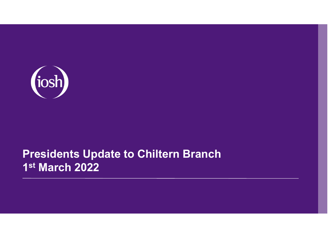

### **Presidents Update to Chiltern Branch 1st March 2022**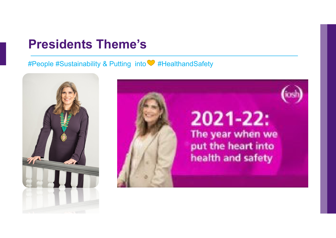#### **Presidents Theme's**

#People #Sustainability & Putting into #HealthandSafety



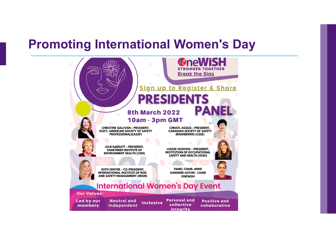## **Promoting International Women's Day**

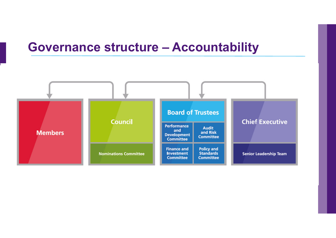### **Governance structure – Accountability**

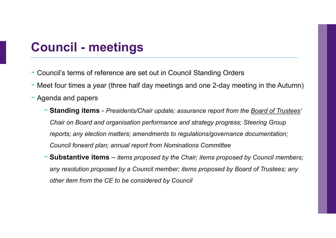## **Council - meetings**

- Council's terms of reference are set out in Council Standing Orders
- Meet four times a year (three half day meetings and one 2-day meeting in the Autumn)
- Agenda and papers
	- **Standing items**  *Presidents/Chair update; assurance report from the Board of Trustees' Chair on Board and organisation performance and strategy progress; Steering Group reports; any election matters; amendments to regulations/governance documentation; Council forward plan; annual report from Nominations Committee*
	- **Substantive items** *items proposed by the Chair; items proposed by Council members; any resolution proposed by a Council member; items proposed by Board of Trustees; any other item from the CE to be considered by Council*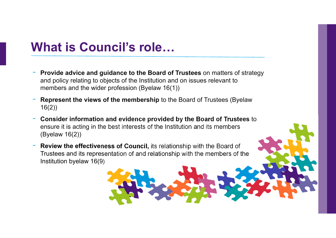# **What is Council's role…**

- **Provide advice and guidance to the Board of Trustees** on matters of strategy and policy relating to objects of the Institution and on issues relevant to members and the wider profession (Byelaw 16(1))
- **Represent the views of the membership** to the Board of Trustees (Byelaw 16(2))
- **Consider information and evidence provided by the Board of Trustees** to ensure it is acting in the best interests of the Institution and its members (Byelaw 16(2))
- **Review the effectiveness of Council,** its relationship with the Board of Trustees and its representation of and relationship with the members of the Institution byelaw 16(9)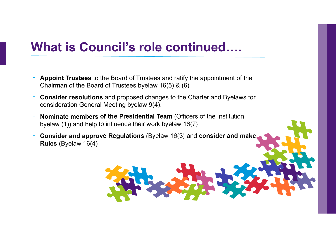# **What is Council's role continued….**

- **Appoint Trustees** to the Board of Trustees and ratify the appointment of the Chairman of the Board of Trustees byelaw 16(5) & (6)
- - **Consider resolutions** and proposed changes to the Charter and Byelaws for consideration General Meeting byelaw 9(4).
- - **Nominate members of the Presidential Team** (Officers of the Institution byelaw (1)) and help to influence their work byelaw 16(7)
- - **Consider and approve Regulations** (Byelaw 16(3) and **consider and make Rules** (Byelaw 16(4)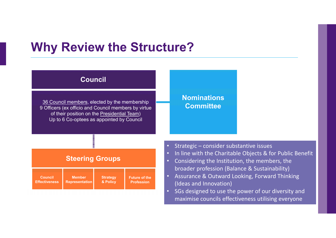# **Why Review the Structure?**